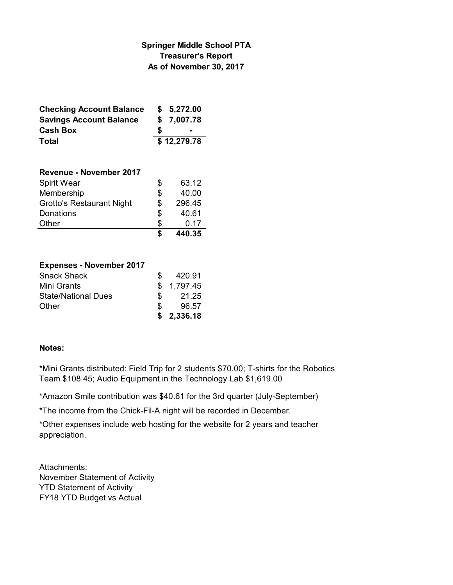### **Springer Middle School PTA Treasurer's Report As of November 30, 2017**

| <b>Checking Account Balance</b> |             | \$5,272.00 |
|---------------------------------|-------------|------------|
| <b>Savings Account Balance</b>  |             | \$7,007.78 |
| <b>Cash Box</b>                 | S           |            |
| Total                           | \$12,279.78 |            |

| Revenue - November 2017          |    |        |
|----------------------------------|----|--------|
| <b>Spirit Wear</b>               | \$ | 63.12  |
| Membership                       | \$ | 40.00  |
| <b>Grotto's Restaurant Night</b> | \$ | 296.45 |
| Donations                        | \$ | 40.61  |
| Other                            | S  | 0.17   |
|                                  |    | 440.35 |

### **Expenses - November 2017**

| <b>Snack Shack</b>         | SS. | 420.91     |
|----------------------------|-----|------------|
| Mini Grants                |     | \$1,797.45 |
| <b>State/National Dues</b> | S.  | 21.25      |
| Other                      | S.  | 96.57      |
|                            |     | \$2,336.18 |

### **Notes:**

\*Mini Grants distributed: Field Trip for 2 students \$70.00; T-shirts for the Robotics Team \$108.45; Audio Equipment in the Technology Lab \$1,619.00

\*Amazon Smile contribution was \$40.61 for the 3rd quarter (July-September)

\*The income from the Chick-Fil-A night will be recorded in December.

\*Other expenses include web hosting for the website for 2 years and teacher appreciation.

Attachments: November Statement of Activity YTD Statement of Activity FY18 YTD Budget vs Actual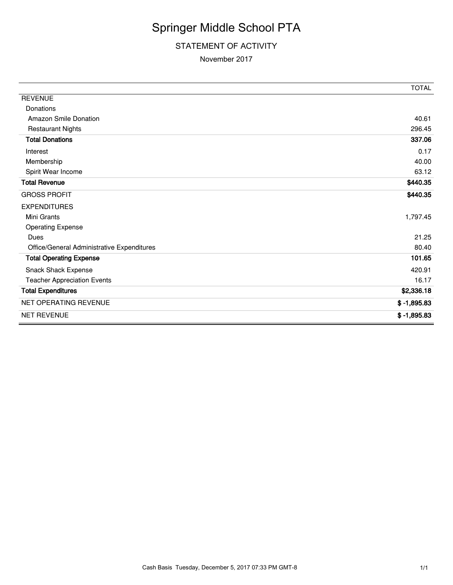# Springer Middle School PTA

### STATEMENT OF ACTIVITY

#### November 2017

|                                            | <b>TOTAL</b>  |
|--------------------------------------------|---------------|
| <b>REVENUE</b>                             |               |
| Donations                                  |               |
| <b>Amazon Smile Donation</b>               | 40.61         |
| <b>Restaurant Nights</b>                   | 296.45        |
| <b>Total Donations</b>                     | 337.06        |
| Interest                                   | 0.17          |
| Membership                                 | 40.00         |
| Spirit Wear Income                         | 63.12         |
| <b>Total Revenue</b>                       | \$440.35      |
| <b>GROSS PROFIT</b>                        | \$440.35      |
| <b>EXPENDITURES</b>                        |               |
| Mini Grants                                | 1,797.45      |
| <b>Operating Expense</b>                   |               |
| Dues                                       | 21.25         |
| Office/General Administrative Expenditures | 80.40         |
| <b>Total Operating Expense</b>             | 101.65        |
| Snack Shack Expense                        | 420.91        |
| <b>Teacher Appreciation Events</b>         | 16.17         |
| <b>Total Expenditures</b>                  | \$2,336.18    |
| <b>NET OPERATING REVENUE</b>               | $$ -1,895.83$ |
| <b>NET REVENUE</b>                         | $$ -1,895.83$ |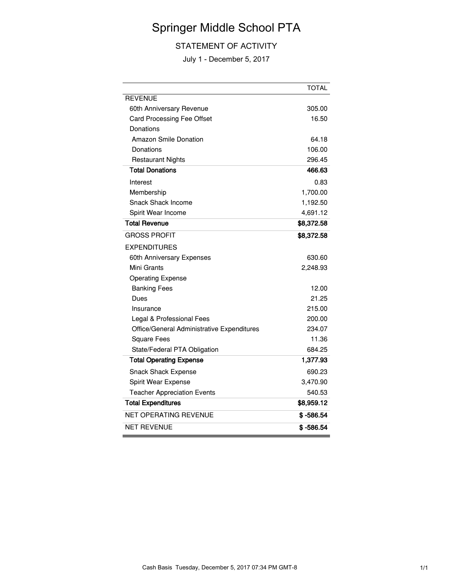## Springer Middle School PTA

### STATEMENT OF ACTIVITY

July 1 - December 5, 2017

|                                            | <b>TOTAL</b> |
|--------------------------------------------|--------------|
| <b>REVENUE</b>                             |              |
| 60th Anniversary Revenue                   | 305.00       |
| <b>Card Processing Fee Offset</b>          | 16.50        |
| Donations                                  |              |
| <b>Amazon Smile Donation</b>               | 64.18        |
| Donations                                  | 106.00       |
| <b>Restaurant Nights</b>                   | 296.45       |
| <b>Total Donations</b>                     | 466.63       |
| Interest                                   | 0.83         |
| Membership                                 | 1,700.00     |
| Snack Shack Income                         | 1,192.50     |
| Spirit Wear Income                         | 4,691.12     |
| <b>Total Revenue</b>                       | \$8,372.58   |
| <b>GROSS PROFIT</b>                        | \$8,372.58   |
| <b>EXPENDITURES</b>                        |              |
| 60th Anniversary Expenses                  | 630.60       |
| Mini Grants                                | 2,248.93     |
| <b>Operating Expense</b>                   |              |
| <b>Banking Fees</b>                        | 12.00        |
| Dues                                       | 21.25        |
| Insurance                                  | 215.00       |
| Legal & Professional Fees                  | 200.00       |
| Office/General Administrative Expenditures | 234.07       |
| <b>Square Fees</b>                         | 11.36        |
| State/Federal PTA Obligation               | 684.25       |
| <b>Total Operating Expense</b>             | 1,377.93     |
| Snack Shack Expense                        | 690.23       |
| Spirit Wear Expense                        | 3,470.90     |
| <b>Teacher Appreciation Events</b>         | 540.53       |
| <b>Total Expenditures</b>                  | \$8,959.12   |
| NET OPERATING REVENUE                      | \$ -586.54   |
| <b>NET REVENUE</b>                         | $$ -586.54$  |